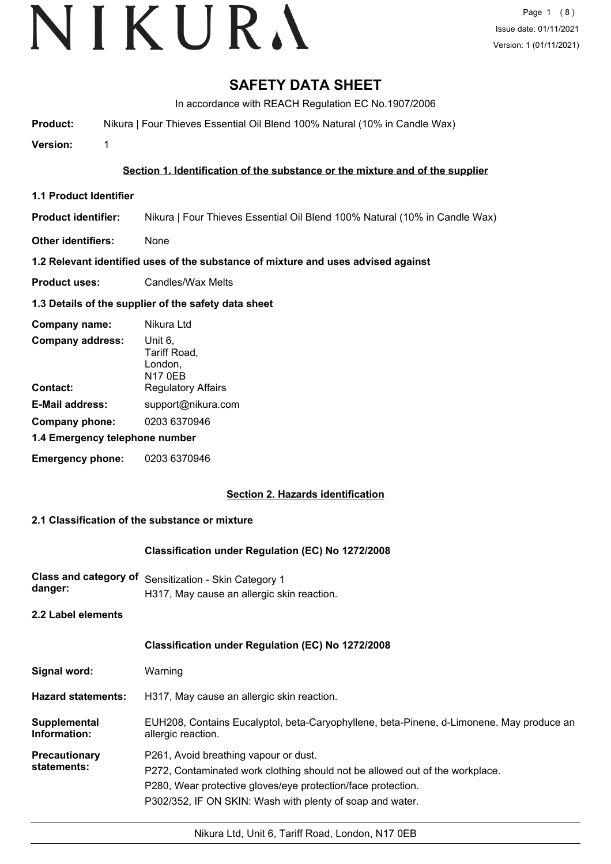# VIKURA

### **SAFETY DATA SHEET**

In accordance with REACH Regulation EC No.1907/2006

**Product:** Nikura | Four Thieves Essential Oil Blend 100% Natural (10% in Candle Wax)

**Version:** 1

#### **Section 1. Identification of the substance or the mixture and of the supplier**

- **1.1 Product Identifier**
- **Product identifier:** Nikura | Four Thieves Essential Oil Blend 100% Natural (10% in Candle Wax)
- **Other identifiers:** None

#### **1.2 Relevant identified uses of the substance of mixture and uses advised against**

**Product uses:** Candles/Wax Melts

#### **1.3 Details of the supplier of the safety data sheet**

| Company name:                  | Nikura Ltd                                           |  |
|--------------------------------|------------------------------------------------------|--|
| <b>Company address:</b>        | Unit 6,<br>Tariff Road,<br>London,<br><b>N17 0EB</b> |  |
| Contact:                       | <b>Regulatory Affairs</b>                            |  |
| <b>E-Mail address:</b>         | support@nikura.com                                   |  |
| Company phone:                 | 0203 6370946                                         |  |
| 1.4 Emergency telephone number |                                                      |  |
| <b>Emergency phone:</b>        | 0203 6370946                                         |  |

#### **Section 2. Hazards identification**

#### **2.1 Classification of the substance or mixture**

#### **Classification under Regulation (EC) No 1272/2008**

**Class and category of** Sensitization - Skin Category 1 **danger:** H317, May cause an allergic skin reaction.

**2.2 Label elements**

#### **Classification under Regulation (EC) No 1272/2008**

| Signal word: | Warning |
|--------------|---------|
|--------------|---------|

- **Hazard statements:** H317, May cause an allergic skin reaction.
- EUH208, Contains Eucalyptol, beta-Caryophyllene, beta-Pinene, d-Limonene. May produce an allergic reaction. **Supplemental Information:**
- **Precautionary statements:** P261, Avoid breathing vapour or dust.
	- P272, Contaminated work clothing should not be allowed out of the workplace.
		- P280, Wear protective gloves/eye protection/face protection.
			- P302/352, IF ON SKIN: Wash with plenty of soap and water.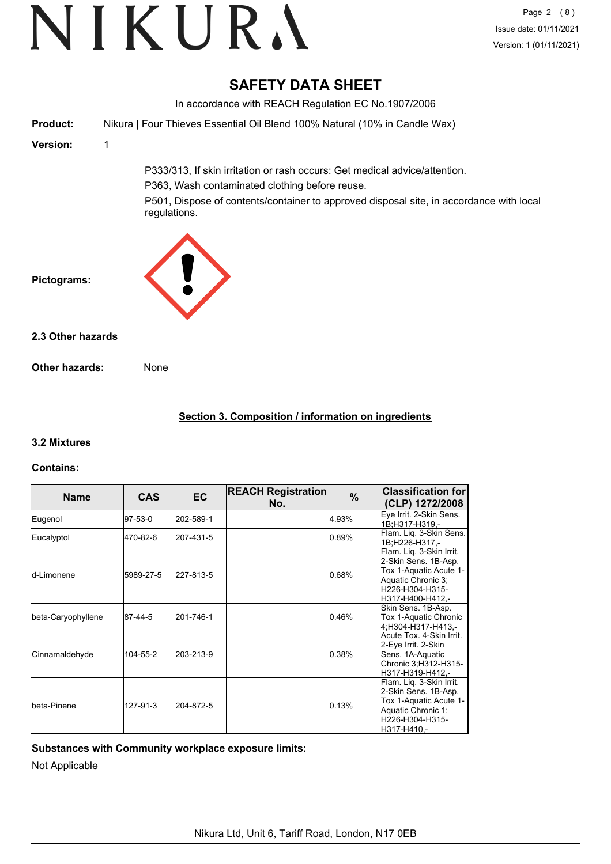### **SAFETY DATA SHEET**

In accordance with REACH Regulation EC No.1907/2006 **Product:** Nikura | Four Thieves Essential Oil Blend 100% Natural (10% in Candle Wax) **Version:** 1 P333/313, If skin irritation or rash occurs: Get medical advice/attention. P363, Wash contaminated clothing before reuse. P501, Dispose of contents/container to approved disposal site, in accordance with local regulations. **Pictograms: Other hazards:** None **2.3 Other hazards**

#### **Section 3. Composition / information on ingredients**

#### **3.2 Mixtures**

#### **Contains:**

| <b>Name</b>          | <b>CAS</b> | EC.       | <b>REACH Registration</b><br>No. | $\%$  | <b>Classification for</b><br>(CLP) 1272/2008                                                                                            |
|----------------------|------------|-----------|----------------------------------|-------|-----------------------------------------------------------------------------------------------------------------------------------------|
| Eugenol              | 97-53-0    | 202-589-1 |                                  | 4.93% | Eye Irrit. 2-Skin Sens.<br>1B:H317-H319.-                                                                                               |
| Eucalyptol           | 470-82-6   | 207-431-5 |                                  | 0.89% | Flam. Lig. 3-Skin Sens.<br>1B;H226-H317,-                                                                                               |
| ld-Limonene          | 5989-27-5  | 227-813-5 |                                  | 0.68% | Flam. Liq. 3-Skin Irrit.<br>2-Skin Sens. 1B-Asp.<br>Tox 1-Aquatic Acute 1-<br>Aquatic Chronic 3:<br>H226-H304-H315-<br>H317-H400-H412.- |
| beta-Caryophyllene   | 87-44-5    | 201-746-1 |                                  | 0.46% | Skin Sens. 1B-Asp.<br>Tox 1-Aquatic Chronic<br>4:H304-H317-H413.-                                                                       |
| Cinnamaldehyde       | 104-55-2   | 203-213-9 |                                  | 0.38% | Acute Tox. 4-Skin Irrit.<br>2-Eye Irrit. 2-Skin<br>Sens. 1A-Aquatic<br>Chronic 3;H312-H315-<br>H317-H319-H412.-                         |
| <b>I</b> beta-Pinene | 127-91-3   | 204-872-5 |                                  | 0.13% | Flam. Lig. 3-Skin Irrit.<br>2-Skin Sens. 1B-Asp.<br>Tox 1-Aquatic Acute 1-<br>Aquatic Chronic 1;<br>H226-H304-H315-<br>H317-H410.-      |

#### **Substances with Community workplace exposure limits:**

Not Applicable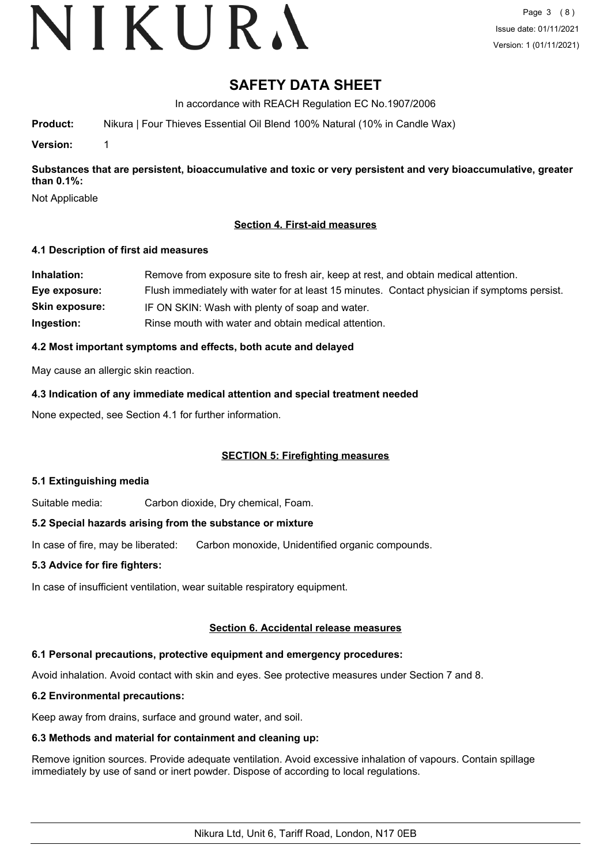# VIKURA

### **SAFETY DATA SHEET**

In accordance with REACH Regulation EC No.1907/2006

**Product:** Nikura | Four Thieves Essential Oil Blend 100% Natural (10% in Candle Wax)

**Version:** 1

**Substances that are persistent, bioaccumulative and toxic or very persistent and very bioaccumulative, greater than 0.1%:**

Not Applicable

#### **Section 4. First-aid measures**

#### **4.1 Description of first aid measures**

| Inhalation:           | Remove from exposure site to fresh air, keep at rest, and obtain medical attention.          |
|-----------------------|----------------------------------------------------------------------------------------------|
| Eye exposure:         | Flush immediately with water for at least 15 minutes. Contact physician if symptoms persist. |
| <b>Skin exposure:</b> | IF ON SKIN: Wash with plenty of soap and water.                                              |
| Ingestion:            | Rinse mouth with water and obtain medical attention.                                         |

#### **4.2 Most important symptoms and effects, both acute and delayed**

May cause an allergic skin reaction.

**4.3 Indication of any immediate medical attention and special treatment needed**

None expected, see Section 4.1 for further information.

#### **SECTION 5: Firefighting measures**

#### **5.1 Extinguishing media**

Suitable media: Carbon dioxide, Dry chemical, Foam.

#### **5.2 Special hazards arising from the substance or mixture**

In case of fire, may be liberated: Carbon monoxide, Unidentified organic compounds.

#### **5.3 Advice for fire fighters:**

In case of insufficient ventilation, wear suitable respiratory equipment.

#### **Section 6. Accidental release measures**

#### **6.1 Personal precautions, protective equipment and emergency procedures:**

Avoid inhalation. Avoid contact with skin and eyes. See protective measures under Section 7 and 8.

#### **6.2 Environmental precautions:**

Keep away from drains, surface and ground water, and soil.

### **6.3 Methods and material for containment and cleaning up:**

Remove ignition sources. Provide adequate ventilation. Avoid excessive inhalation of vapours. Contain spillage immediately by use of sand or inert powder. Dispose of according to local regulations.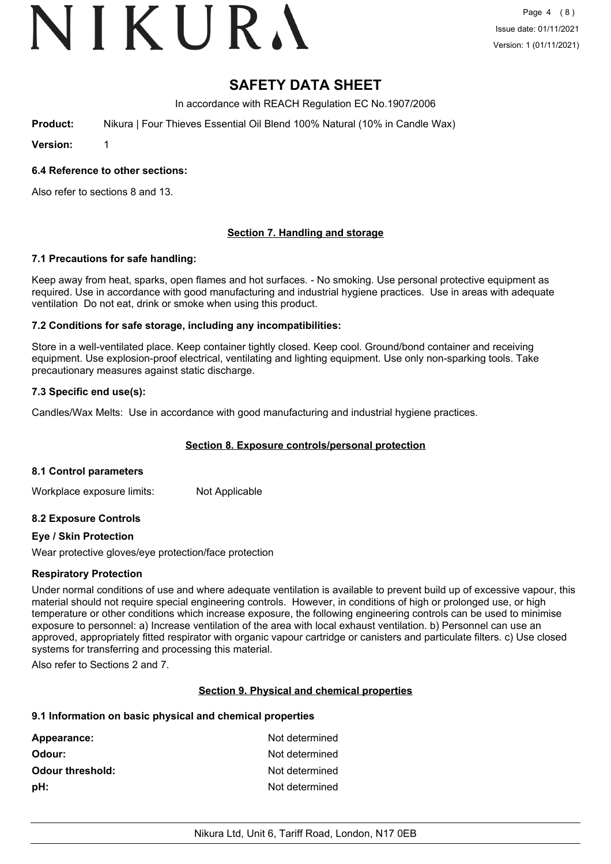# VIKURA

## **SAFETY DATA SHEET**

In accordance with REACH Regulation EC No.1907/2006

**Product:** Nikura | Four Thieves Essential Oil Blend 100% Natural (10% in Candle Wax)

**Version:** 1

#### **6.4 Reference to other sections:**

Also refer to sections 8 and 13.

#### **Section 7. Handling and storage**

#### **7.1 Precautions for safe handling:**

Keep away from heat, sparks, open flames and hot surfaces. - No smoking. Use personal protective equipment as required. Use in accordance with good manufacturing and industrial hygiene practices. Use in areas with adequate ventilation Do not eat, drink or smoke when using this product.

#### **7.2 Conditions for safe storage, including any incompatibilities:**

Store in a well-ventilated place. Keep container tightly closed. Keep cool. Ground/bond container and receiving equipment. Use explosion-proof electrical, ventilating and lighting equipment. Use only non-sparking tools. Take precautionary measures against static discharge.

#### **7.3 Specific end use(s):**

Candles/Wax Melts: Use in accordance with good manufacturing and industrial hygiene practices.

#### **Section 8. Exposure controls/personal protection**

#### **8.1 Control parameters**

Workplace exposure limits: Not Applicable

#### **8.2 Exposure Controls**

#### **Eye / Skin Protection**

Wear protective gloves/eye protection/face protection

#### **Respiratory Protection**

Under normal conditions of use and where adequate ventilation is available to prevent build up of excessive vapour, this material should not require special engineering controls. However, in conditions of high or prolonged use, or high temperature or other conditions which increase exposure, the following engineering controls can be used to minimise exposure to personnel: a) Increase ventilation of the area with local exhaust ventilation. b) Personnel can use an approved, appropriately fitted respirator with organic vapour cartridge or canisters and particulate filters. c) Use closed systems for transferring and processing this material.

Also refer to Sections 2 and 7.

#### **Section 9. Physical and chemical properties**

#### **9.1 Information on basic physical and chemical properties**

| Appearance:             | Not determined |
|-------------------------|----------------|
| Odour:                  | Not determined |
| <b>Odour threshold:</b> | Not determined |
| pH:                     | Not determined |
|                         |                |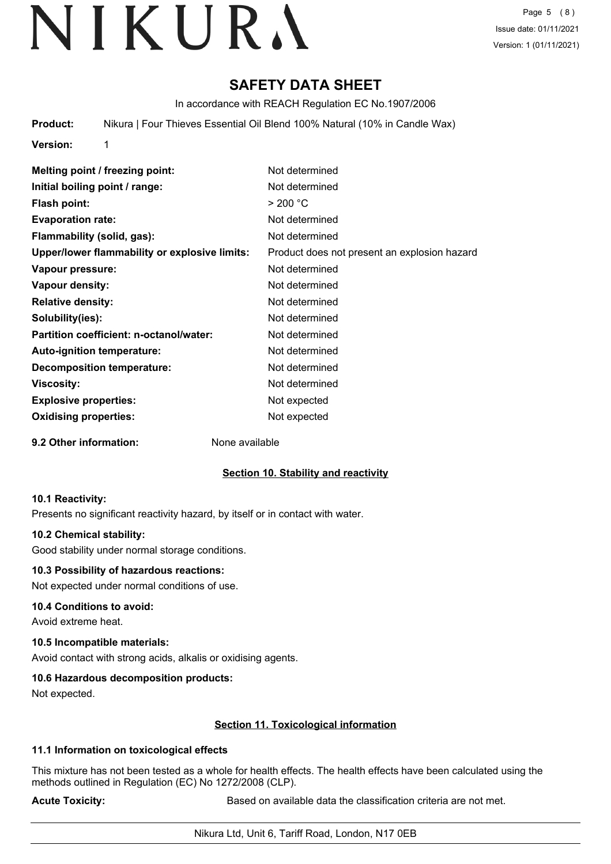Page 5 (8) Issue date: 01/11/2021 Version: 1 (01/11/2021)

### **SAFETY DATA SHEET**

In accordance with REACH Regulation EC No.1907/2006

**Product:** Nikura | Four Thieves Essential Oil Blend 100% Natural (10% in Candle Wax)

**Version:** 1

| Melting point / freezing point:               | Not determined                               |
|-----------------------------------------------|----------------------------------------------|
| Initial boiling point / range:                | Not determined                               |
| <b>Flash point:</b>                           | > 200 °C                                     |
| <b>Evaporation rate:</b>                      | Not determined                               |
| Flammability (solid, gas):                    | Not determined                               |
| Upper/lower flammability or explosive limits: | Product does not present an explosion hazard |
| Vapour pressure:                              | Not determined                               |
| Vapour density:                               | Not determined                               |
| <b>Relative density:</b>                      | Not determined                               |
| Solubility(ies):                              | Not determined                               |
| Partition coefficient: n-octanol/water:       | Not determined                               |
| Auto-ignition temperature:                    | Not determined                               |
| <b>Decomposition temperature:</b>             | Not determined                               |
| <b>Viscosity:</b>                             | Not determined                               |
| <b>Explosive properties:</b>                  | Not expected                                 |
| <b>Oxidising properties:</b>                  | Not expected                                 |
|                                               |                                              |

**9.2 Other information:** None available

### **Section 10. Stability and reactivity**

#### **10.1 Reactivity:**

Presents no significant reactivity hazard, by itself or in contact with water.

#### **10.2 Chemical stability:**

Good stability under normal storage conditions.

#### **10.3 Possibility of hazardous reactions:**

Not expected under normal conditions of use.

#### **10.4 Conditions to avoid:**

Avoid extreme heat.

#### **10.5 Incompatible materials:**

Avoid contact with strong acids, alkalis or oxidising agents.

#### **10.6 Hazardous decomposition products:**

Not expected.

#### **Section 11. Toxicological information**

#### **11.1 Information on toxicological effects**

This mixture has not been tested as a whole for health effects. The health effects have been calculated using the methods outlined in Regulation (EC) No 1272/2008 (CLP).

**Acute Toxicity: Acute Toxicity: Based on available data the classification criteria are not met.**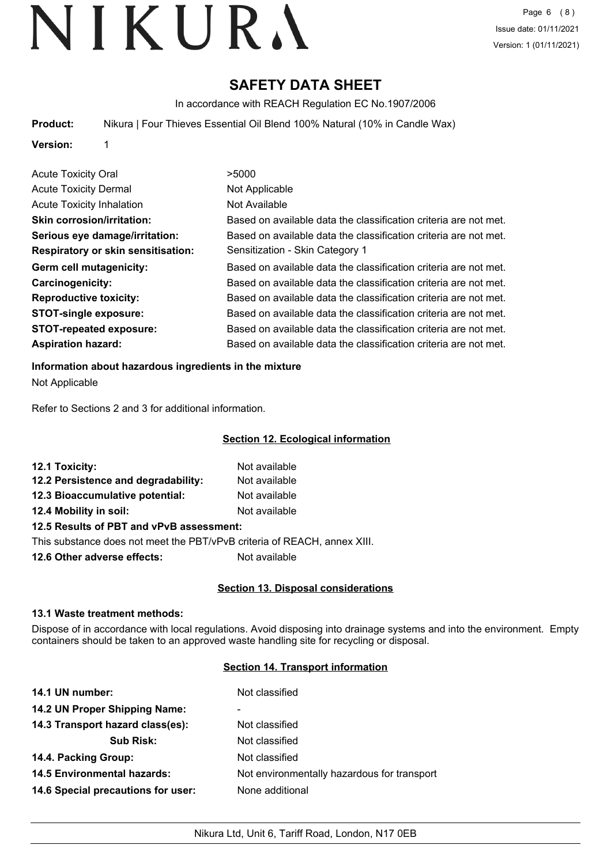### **SAFETY DATA SHEET**

In accordance with REACH Regulation EC No.1907/2006

**Product:** Nikura | Four Thieves Essential Oil Blend 100% Natural (10% in Candle Wax)

**Version:** 1

| <b>Acute Toxicity Oral</b>                | >5000                                                            |
|-------------------------------------------|------------------------------------------------------------------|
|                                           |                                                                  |
| <b>Acute Toxicity Dermal</b>              | Not Applicable                                                   |
| <b>Acute Toxicity Inhalation</b>          | Not Available                                                    |
| <b>Skin corrosion/irritation:</b>         | Based on available data the classification criteria are not met. |
| Serious eye damage/irritation:            | Based on available data the classification criteria are not met. |
| <b>Respiratory or skin sensitisation:</b> | Sensitization - Skin Category 1                                  |
| Germ cell mutagenicity:                   | Based on available data the classification criteria are not met. |
| <b>Carcinogenicity:</b>                   | Based on available data the classification criteria are not met. |
| <b>Reproductive toxicity:</b>             | Based on available data the classification criteria are not met. |
| <b>STOT-single exposure:</b>              | Based on available data the classification criteria are not met. |
| <b>STOT-repeated exposure:</b>            | Based on available data the classification criteria are not met. |
| <b>Aspiration hazard:</b>                 | Based on available data the classification criteria are not met. |

#### **Information about hazardous ingredients in the mixture**

Not Applicable

Refer to Sections 2 and 3 for additional information.

#### **Section 12. Ecological information**

| 12.1 Toxicity:                           | Not available |
|------------------------------------------|---------------|
| 12.2 Persistence and degradability:      | Not available |
| 12.3 Bioaccumulative potential:          | Not available |
| 12.4 Mobility in soil:                   | Not available |
| 12.5 Results of PBT and vPvB assessment: |               |

This substance does not meet the PBT/vPvB criteria of REACH, annex XIII.

**12.6 Other adverse effects:** Not available

#### **Section 13. Disposal considerations**

#### **13.1 Waste treatment methods:**

Dispose of in accordance with local regulations. Avoid disposing into drainage systems and into the environment. Empty containers should be taken to an approved waste handling site for recycling or disposal.

#### **Section 14. Transport information**

| 14.1 UN number:                    | Not classified                              |
|------------------------------------|---------------------------------------------|
| 14.2 UN Proper Shipping Name:      | ۰                                           |
| 14.3 Transport hazard class(es):   | Not classified                              |
| <b>Sub Risk:</b>                   | Not classified                              |
| 14.4. Packing Group:               | Not classified                              |
| <b>14.5 Environmental hazards:</b> | Not environmentally hazardous for transport |
| 14.6 Special precautions for user: | None additional                             |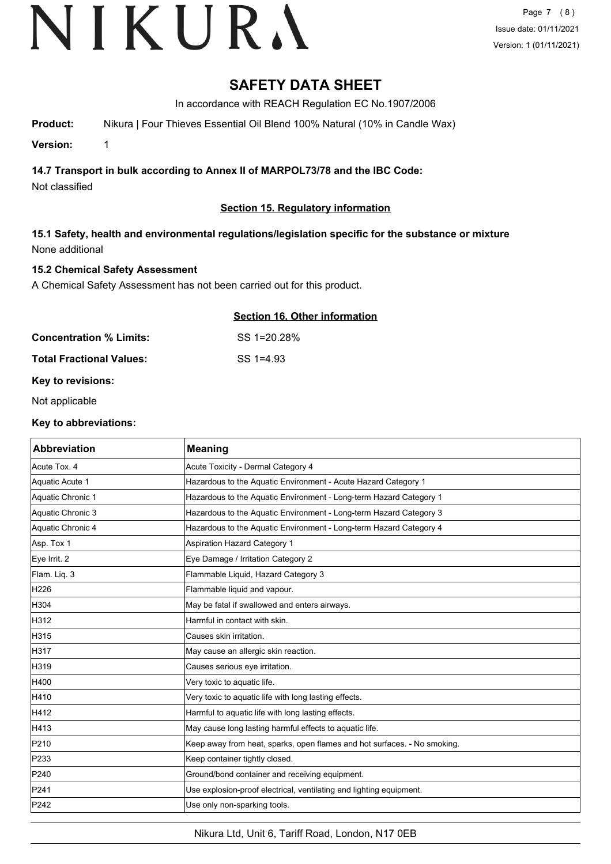Page 7 (8) Issue date: 01/11/2021 Version: 1 (01/11/2021)

### **SAFETY DATA SHEET**

In accordance with REACH Regulation EC No.1907/2006

**Product:** Nikura | Four Thieves Essential Oil Blend 100% Natural (10% in Candle Wax)

**Version:** 1

**14.7 Transport in bulk according to Annex II of MARPOL73/78 and the IBC Code:**

Not classified

#### **Section 15. Regulatory information**

#### **15.1 Safety, health and environmental regulations/legislation specific for the substance or mixture** None additional

**Concentration % Limits:** SS 1=20.28%

#### **15.2 Chemical Safety Assessment**

A Chemical Safety Assessment has not been carried out for this product.

#### **Section 16. Other information**

**Total Fractional Values:** SS 1=4.93

#### **Key to revisions:**

Not applicable

#### **Key to abbreviations:**

| <b>Abbreviation</b> | <b>Meaning</b>                                                           |
|---------------------|--------------------------------------------------------------------------|
| Acute Tox. 4        | Acute Toxicity - Dermal Category 4                                       |
| Aquatic Acute 1     | Hazardous to the Aquatic Environment - Acute Hazard Category 1           |
| Aquatic Chronic 1   | Hazardous to the Aquatic Environment - Long-term Hazard Category 1       |
| Aquatic Chronic 3   | Hazardous to the Aquatic Environment - Long-term Hazard Category 3       |
| Aquatic Chronic 4   | Hazardous to the Aquatic Environment - Long-term Hazard Category 4       |
| Asp. Tox 1          | <b>Aspiration Hazard Category 1</b>                                      |
| Eye Irrit. 2        | Eye Damage / Irritation Category 2                                       |
| Flam. Liq. 3        | Flammable Liquid, Hazard Category 3                                      |
| H226                | Flammable liquid and vapour.                                             |
| H304                | May be fatal if swallowed and enters airways.                            |
| H312                | Harmful in contact with skin.                                            |
| H315                | Causes skin irritation.                                                  |
| H317                | May cause an allergic skin reaction.                                     |
| H319                | Causes serious eye irritation.                                           |
| H400                | Very toxic to aquatic life.                                              |
| H410                | Very toxic to aquatic life with long lasting effects.                    |
| H412                | Harmful to aquatic life with long lasting effects.                       |
| H413                | May cause long lasting harmful effects to aquatic life.                  |
| P210                | Keep away from heat, sparks, open flames and hot surfaces. - No smoking. |
| P233                | Keep container tightly closed.                                           |
| P240                | Ground/bond container and receiving equipment.                           |
| P241                | Use explosion-proof electrical, ventilating and lighting equipment.      |
| P242                | Use only non-sparking tools.                                             |